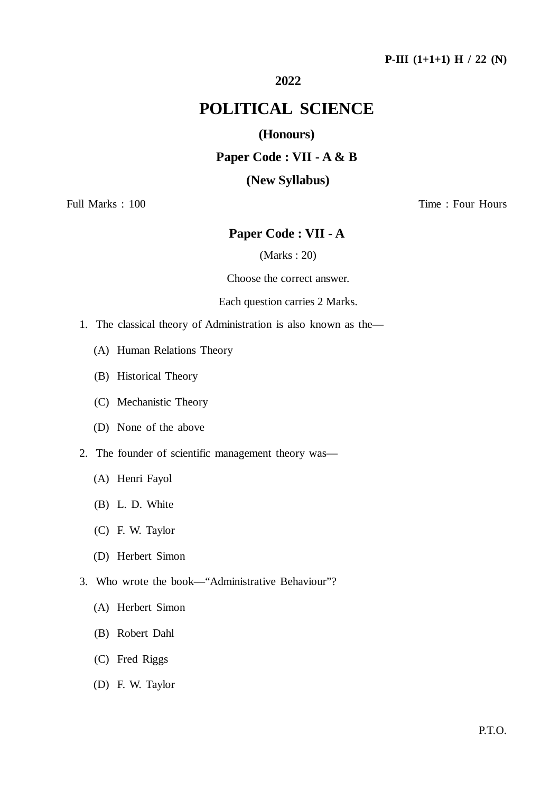### **P-III (1+1+1) H / 22 (N)**

## **2022**

## **POLITICAL SCIENCE**

## **(Honours)**

## **Paper Code : VII - A & B**

#### **(New Syllabus)**

Full Marks : 100 Time : Four Hours

## **Paper Code : VII - A**

(Marks : 20)

Choose the correct answer.

#### Each question carries 2 Marks.

- 1. The classical theory of Administration is also known as the—
	- (A) Human Relations Theory
	- (B) Historical Theory
	- (C) Mechanistic Theory
	- (D) None of the above
- 2. The founder of scientific management theory was—
	- (A) Henri Fayol
	- (B) L. D. White
	- (C) F. W. Taylor
	- (D) Herbert Simon
- 3. Who wrote the book—"Administrative Behaviour"?
	- (A) Herbert Simon
	- (B) Robert Dahl
	- (C) Fred Riggs
	- (D) F. W. Taylor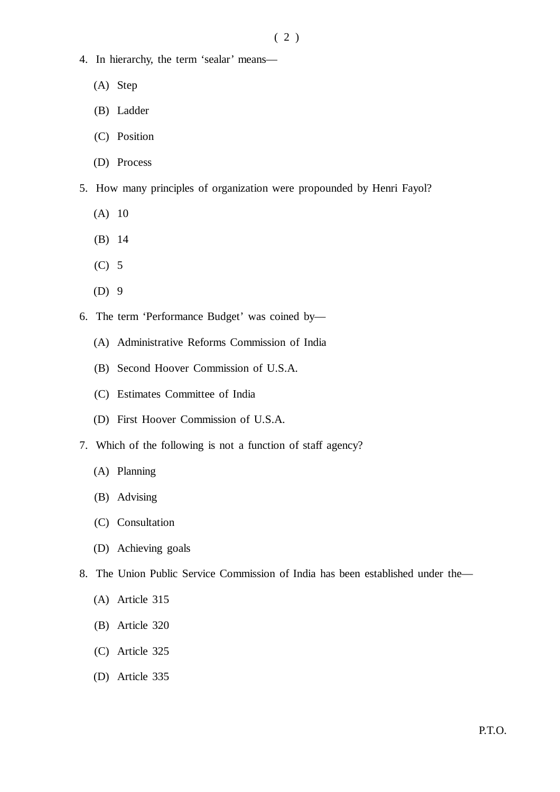- 4. In hierarchy, the term 'sealar' means—
	- (A) Step
	- (B) Ladder
	- (C) Position
	- (D) Process
- 5. How many principles of organization were propounded by Henri Fayol?
	- (A) 10
	- (B) 14
	- (C) 5
	- (D) 9
- 6. The term 'Performance Budget' was coined by—
	- (A) Administrative Reforms Commission of India
	- (B) Second Hoover Commission of U.S.A.
	- (C) Estimates Committee of India
	- (D) First Hoover Commission of U.S.A.
- 7. Which of the following is not a function of staff agency?
	- (A) Planning
	- (B) Advising
	- (C) Consultation
	- (D) Achieving goals
- 8. The Union Public Service Commission of India has been established under the—
	- (A) Article 315
	- (B) Article 320
	- (C) Article 325
	- (D) Article 335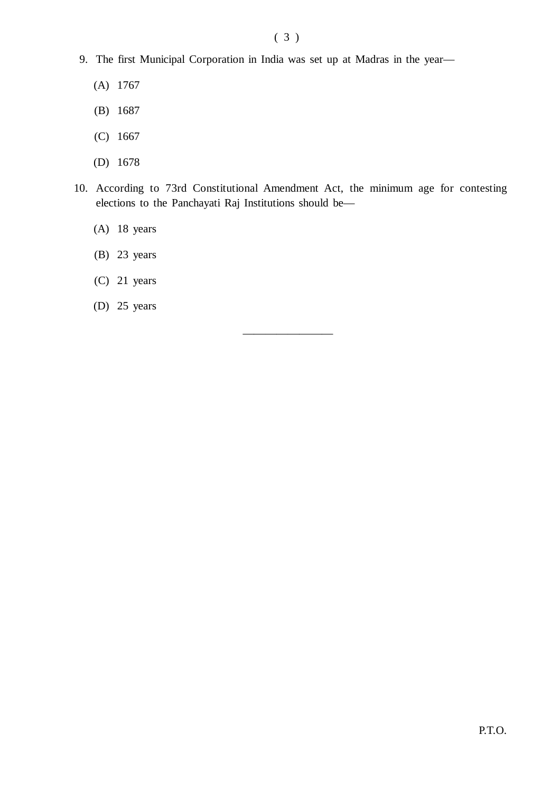## ( 3 )

- 9. The first Municipal Corporation in India was set up at Madras in the year—
	- (A) 1767
	- (B) 1687
	- (C) 1667
	- (D) 1678
- 10. According to 73rd Constitutional Amendment Act, the minimum age for contesting elections to the Panchayati Raj Institutions should be—

————————

- (A) 18 years
- (B) 23 years
- (C) 21 years
- (D) 25 years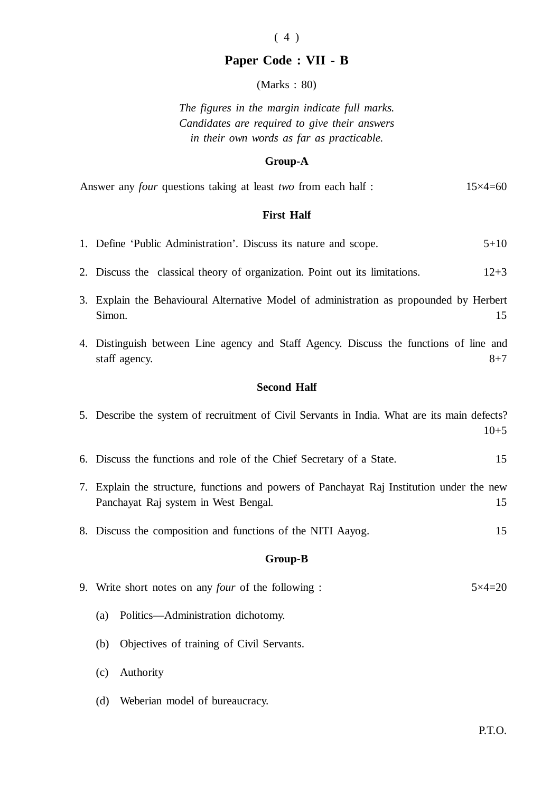# $(4)$

## **Paper Code : VII - B**

(Marks : 80)

*The figures in the margin indicate full marks. Candidates are required to give their answers in their own words as far as practicable.*

#### **Group-A**

|  |  | Answer any <i>four</i> questions taking at least <i>two</i> from each half : |  |  |  |  |  | $15\times4=60$ |
|--|--|------------------------------------------------------------------------------|--|--|--|--|--|----------------|
|--|--|------------------------------------------------------------------------------|--|--|--|--|--|----------------|

#### **First Half**

|  |  |  | 1. Define 'Public Administration'. Discuss its nature and scope. |  |  |  |  |  |  | $5 + 10$ |  |
|--|--|--|------------------------------------------------------------------|--|--|--|--|--|--|----------|--|
|--|--|--|------------------------------------------------------------------|--|--|--|--|--|--|----------|--|

- 2. Discuss the classical theory of organization. Point out its limitations. 12+3
- 3. Explain the Behavioural Alternative Model of administration as propounded by Herbert Simon. 15
- 4. Distinguish between Line agency and Staff Agency. Discuss the functions of line and staff agency.  $8+7$

#### **Second Half**

|  | 5. Describe the system of recruitment of Civil Servants in India. What are its main defects? |  |  |  |        |
|--|----------------------------------------------------------------------------------------------|--|--|--|--------|
|  |                                                                                              |  |  |  | $10+5$ |

- 6. Discuss the functions and role of the Chief Secretary of a State. 15
- 7. Explain the structure, functions and powers of Panchayat Raj Institution under the new Panchayat Raj system in West Bengal. 15
- 8. Discuss the composition and functions of the NITI Aayog. 15

#### **Group-B**

|  |  |  | 9. Write short notes on any <i>four</i> of the following : | $5 \times 4 = 20$ |
|--|--|--|------------------------------------------------------------|-------------------|
|--|--|--|------------------------------------------------------------|-------------------|

- (a) Politics—Administration dichotomy.
- (b) Objectives of training of Civil Servants.
- (c) Authority
- (d) Weberian model of bureaucracy.